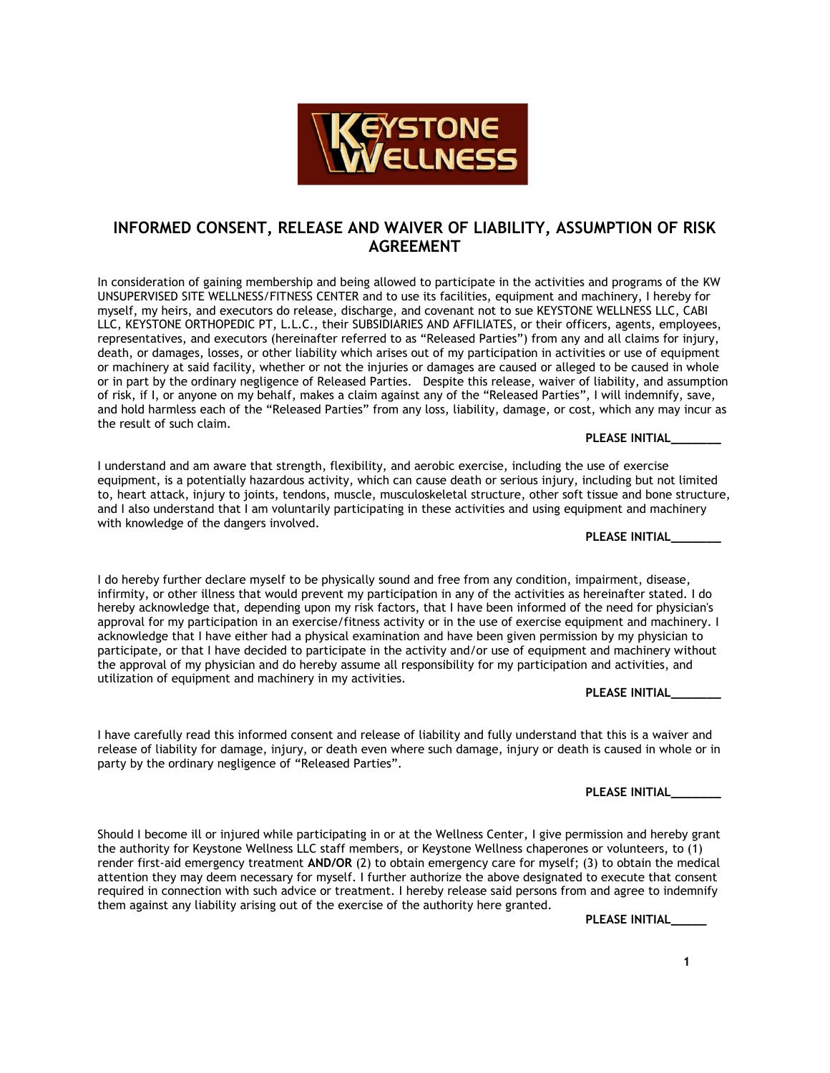

## **INFORMED CONSENT, RELEASE AND WAIVER OF LIABILITY, ASSUMPTION OF RISK AGREEMENT**

In consideration of gaining membership and being allowed to participate in the activities and programs of the KW UNSUPERVISED SITE WELLNESS/FITNESS CENTER and to use its facilities, equipment and machinery, I hereby for myself, my heirs, and executors do release, discharge, and covenant not to sue KEYSTONE WELLNESS LLC, CABI LLC, KEYSTONE ORTHOPEDIC PT, L.L.C., their SUBSIDIARIES AND AFFILIATES, or their officers, agents, employees, representatives, and executors (hereinafter referred to as "Released Parties") from any and all claims for injury, death, or damages, losses, or other liability which arises out of my participation in activities or use of equipment or machinery at said facility, whether or not the injuries or damages are caused or alleged to be caused in whole or in part by the ordinary negligence of Released Parties. Despite this release, waiver of liability, and assumption of risk, if I, or anyone on my behalf, makes a claim against any of the "Released Parties", I will indemnify, save, and hold harmless each of the "Released Parties" from any loss, liability, damage, or cost, which any may incur as the result of such claim.

**PLEASE INITIAL\_\_\_\_\_\_\_**

I understand and am aware that strength, flexibility, and aerobic exercise, including the use of exercise equipment, is a potentially hazardous activity, which can cause death or serious injury, including but not limited to, heart attack, injury to joints, tendons, muscle, musculoskeletal structure, other soft tissue and bone structure, and I also understand that I am voluntarily participating in these activities and using equipment and machinery with knowledge of the dangers involved.

**PLEASE INITIAL\_\_\_\_\_\_\_**

I do hereby further declare myself to be physically sound and free from any condition, impairment, disease, infirmity, or other illness that would prevent my participation in any of the activities as hereinafter stated. I do hereby acknowledge that, depending upon my risk factors, that I have been informed of the need for physician's approval for my participation in an exercise/fitness activity or in the use of exercise equipment and machinery. I acknowledge that I have either had a physical examination and have been given permission by my physician to participate, or that I have decided to participate in the activity and/or use of equipment and machinery without the approval of my physician and do hereby assume all responsibility for my participation and activities, and utilization of equipment and machinery in my activities.

**PLEASE INITIAL\_\_\_\_\_\_\_**

I have carefully read this informed consent and release of liability and fully understand that this is a waiver and release of liability for damage, injury, or death even where such damage, injury or death is caused in whole or in party by the ordinary negligence of "Released Parties".

**PLEASE INITIAL\_\_\_\_\_\_\_**

Should I become ill or injured while participating in or at the Wellness Center, I give permission and hereby grant the authority for Keystone Wellness LLC staff members, or Keystone Wellness chaperones or volunteers, to (1) render first-aid emergency treatment **AND/OR** (2) to obtain emergency care for myself; (3) to obtain the medical attention they may deem necessary for myself. I further authorize the above designated to execute that consent required in connection with such advice or treatment. I hereby release said persons from and agree to indemnify them against any liability arising out of the exercise of the authority here granted.

**PLEASE INITIAL\_\_\_\_\_**